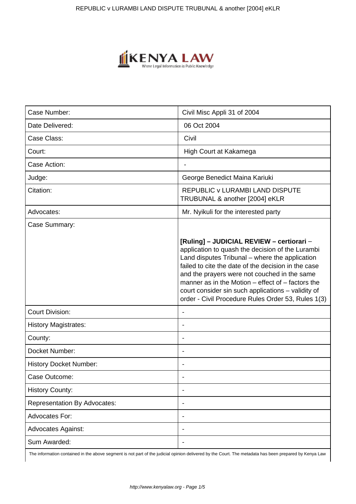

| Case Number:                        | Civil Misc Appli 31 of 2004                                                                                                                                                                                                                                                                                                                                                                                             |
|-------------------------------------|-------------------------------------------------------------------------------------------------------------------------------------------------------------------------------------------------------------------------------------------------------------------------------------------------------------------------------------------------------------------------------------------------------------------------|
| Date Delivered:                     | 06 Oct 2004                                                                                                                                                                                                                                                                                                                                                                                                             |
| Case Class:                         | Civil                                                                                                                                                                                                                                                                                                                                                                                                                   |
| Court:                              | High Court at Kakamega                                                                                                                                                                                                                                                                                                                                                                                                  |
| Case Action:                        |                                                                                                                                                                                                                                                                                                                                                                                                                         |
| Judge:                              | George Benedict Maina Kariuki                                                                                                                                                                                                                                                                                                                                                                                           |
| Citation:                           | <b>REPUBLIC v LURAMBI LAND DISPUTE</b><br>TRUBUNAL & another [2004] eKLR                                                                                                                                                                                                                                                                                                                                                |
| Advocates:                          | Mr. Nyikuli for the interested party                                                                                                                                                                                                                                                                                                                                                                                    |
| Case Summary:                       |                                                                                                                                                                                                                                                                                                                                                                                                                         |
|                                     | [Ruling] - JUDICIAL REVIEW - certiorari -<br>application to quash the decision of the Lurambi<br>Land disputes Tribunal - where the application<br>failed to cite the date of the decision in the case<br>and the prayers were not couched in the same<br>manner as in the Motion – effect of – factors the<br>court consider sin such applications - validity of<br>order - Civil Procedure Rules Order 53, Rules 1(3) |
| <b>Court Division:</b>              |                                                                                                                                                                                                                                                                                                                                                                                                                         |
| <b>History Magistrates:</b>         | $\overline{\phantom{a}}$                                                                                                                                                                                                                                                                                                                                                                                                |
| County:                             |                                                                                                                                                                                                                                                                                                                                                                                                                         |
| Docket Number:                      |                                                                                                                                                                                                                                                                                                                                                                                                                         |
| <b>History Docket Number:</b>       | $\overline{\phantom{a}}$                                                                                                                                                                                                                                                                                                                                                                                                |
| Case Outcome:                       |                                                                                                                                                                                                                                                                                                                                                                                                                         |
| <b>History County:</b>              |                                                                                                                                                                                                                                                                                                                                                                                                                         |
| <b>Representation By Advocates:</b> |                                                                                                                                                                                                                                                                                                                                                                                                                         |
| <b>Advocates For:</b>               |                                                                                                                                                                                                                                                                                                                                                                                                                         |
| <b>Advocates Against:</b>           |                                                                                                                                                                                                                                                                                                                                                                                                                         |
| Sum Awarded:                        |                                                                                                                                                                                                                                                                                                                                                                                                                         |

The information contained in the above segment is not part of the judicial opinion delivered by the Court. The metadata has been prepared by Kenya Law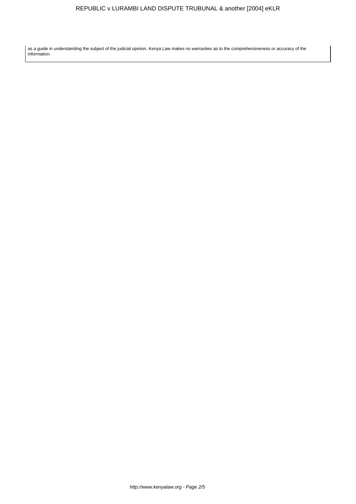as a guide in understanding the subject of the judicial opinion. Kenya Law makes no warranties as to the comprehensiveness or accuracy of the information.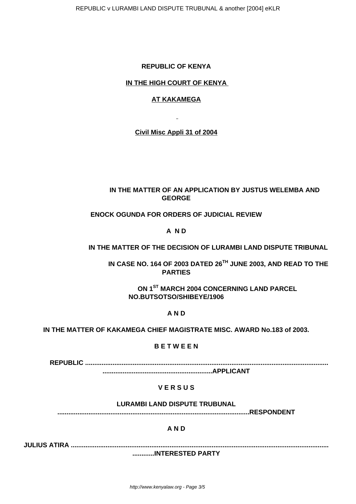REPUBLIC v LURAMBI LAND DISPUTE TRUBUNAL & another [2004] eKLR

## **REPUBLIC OF KENYA**

## **IN THE HIGH COURT OF KENYA**

### **AT KAKAMEGA**

**Civil Misc Appli 31 of 2004**

# **IN THE MATTER OF AN APPLICATION BY JUSTUS WELEMBA AND GEORGE**

## **ENOCK OGUNDA FOR ORDERS OF JUDICIAL REVIEW**

# **A N D**

## **IN THE MATTER OF THE DECISION OF LURAMBI LAND DISPUTE TRIBUNAL**

 **IN CASE NO. 164 OF 2003 DATED 26TH JUNE 2003, AND READ TO THE PARTIES**

**ON 1ST MARCH 2004 CONCERNING LAND PARCEL NO.BUTSOTSO/SHIBEYE/1906**

### **A N D**

**IN THE MATTER OF KAKAMEGA CHIEF MAGISTRATE MISC. AWARD No.183 of 2003.**

#### **B E T W E E N**

 **REPUBLIC .....................................................................................................................................**

# **............................................................APPLICANT**

### **V E R S U S**

### **LURAMBI LAND DISPUTE TRUBUNAL**

**.........................................................................................................RESPONDENT**

### **A N D**

**JULIUS ATIRA ............................................................................................................................................. ............INTERESTED PARTY**

http://www.kenyalaw.org - Page 3/5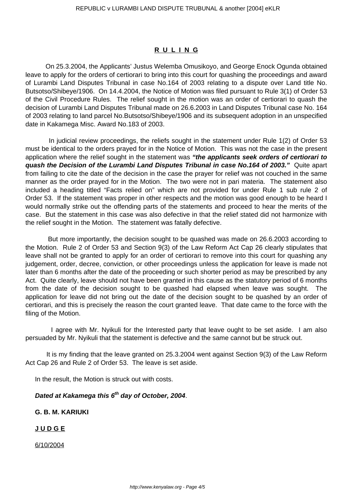#### **R U L I N G**

 On 25.3.2004, the Applicants' Justus Welemba Omusikoyo, and George Enock Ogunda obtained leave to apply for the orders of certiorari to bring into this court for quashing the proceedings and award of Lurambi Land Disputes Tribunal in case No.164 of 2003 relating to a dispute over Land title No. Butsotso/Shibeye/1906. On 14.4.2004, the Notice of Motion was filed pursuant to Rule 3(1) of Order 53 of the Civil Procedure Rules. The relief sought in the motion was an order of certiorari to quash the decision of Lurambi Land Disputes Tribunal made on 26.6.2003 in Land Disputes Tribunal case No. 164 of 2003 relating to land parcel No.Butsotso/Shibeye/1906 and its subsequent adoption in an unspecified date in Kakamega Misc. Award No.183 of 2003.

 In judicial review proceedings, the reliefs sought in the statement under Rule 1(2) of Order 53 must be identical to the orders prayed for in the Notice of Motion. This was not the case in the present application where the relief sought in the statement was **"the applicants seek orders of certiorari to quash the Decision of the Lurambi Land Disputes Tribunal in case No.164 of 2003."** Quite apart from failing to cite the date of the decision in the case the prayer for relief was not couched in the same manner as the order prayed for in the Motion. The two were not in pari materia. The statement also included a heading titled "Facts relied on" which are not provided for under Rule 1 sub rule 2 of Order 53. If the statement was proper in other respects and the motion was good enough to be heard I would normally strike out the offending parts of the statements and proceed to hear the merits of the case. But the statement in this case was also defective in that the relief stated did not harmonize with the relief sought in the Motion. The statement was fatally defective.

 But more importantly, the decision sought to be quashed was made on 26.6.2003 according to the Motion. Rule 2 of Order 53 and Section 9(3) of the Law Reform Act Cap 26 clearly stipulates that leave shall not be granted to apply for an order of certiorari to remove into this court for quashing any judgement, order, decree, conviction, or other proceedings unless the application for leave is made not later than 6 months after the date of the proceeding or such shorter period as may be prescribed by any Act. Quite clearly, leave should not have been granted in this cause as the statutory period of 6 months from the date of the decision sought to be quashed had elapsed when leave was sought. The application for leave did not bring out the date of the decision sought to be quashed by an order of certiorari, and this is precisely the reason the court granted leave. That date came to the force with the filing of the Motion.

 I agree with Mr. Nyikuli for the Interested party that leave ought to be set aside. I am also persuaded by Mr. Nyikuli that the statement is defective and the same cannot but be struck out.

 It is my finding that the leave granted on 25.3.2004 went against Section 9(3) of the Law Reform Act Cap 26 and Rule 2 of Order 53. The leave is set aside.

In the result, the Motion is struck out with costs.

# **Dated at Kakamega this 6th day of October, 2004**.

## **G. B. M. KARIUKI**

#### **J U D G E**

6/10/2004